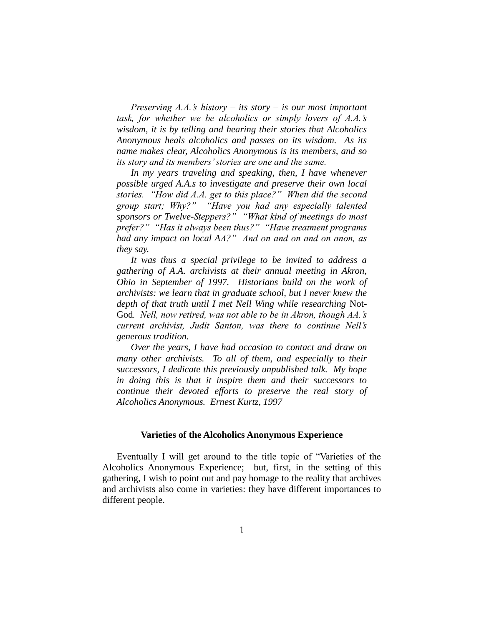*Preserving A.A.'s history – its story – is our most important task, for whether we be alcoholics or simply lovers of A.A.'s wisdom, it is by telling and hearing their stories that Alcoholics Anonymous heals alcoholics and passes on its wisdom. As its name makes clear, Alcoholics Anonymous is its members, and so its story and its members' stories are one and the same.*

*In my years traveling and speaking, then, I have whenever possible urged A.A.s to investigate and preserve their own local stories. "How did A.A. get to this place?" When did the second group start; Why?" "Have you had any especially talented sponsors or Twelve-Steppers?" "What kind of meetings do most prefer?" "Has it always been thus?" "Have treatment programs had any impact on local AA?" And on and on and on anon, as they say.* 

*It was thus a special privilege to be invited to address a gathering of A.A. archivists at their annual meeting in Akron, Ohio in September of 1997. Historians build on the work of archivists: we learn that in graduate school, but I never knew the depth of that truth until I met Nell Wing while researching* Not-God*. Nell, now retired, was not able to be in Akron, though AA.'s current archivist, Judit Santon, was there to continue Nell's generous tradition.* 

*Over the years, I have had occasion to contact and draw on many other archivists. To all of them, and especially to their successors, I dedicate this previously unpublished talk. My hope in doing this is that it inspire them and their successors to continue their devoted efforts to preserve the real story of Alcoholics Anonymous. Ernest Kurtz, 1997*

## **Varieties of the Alcoholics Anonymous Experience**

Eventually I will get around to the title topic of "Varieties of the Alcoholics Anonymous Experience; but, first, in the setting of this gathering, I wish to point out and pay homage to the reality that archives and archivists also come in varieties: they have different importances to different people.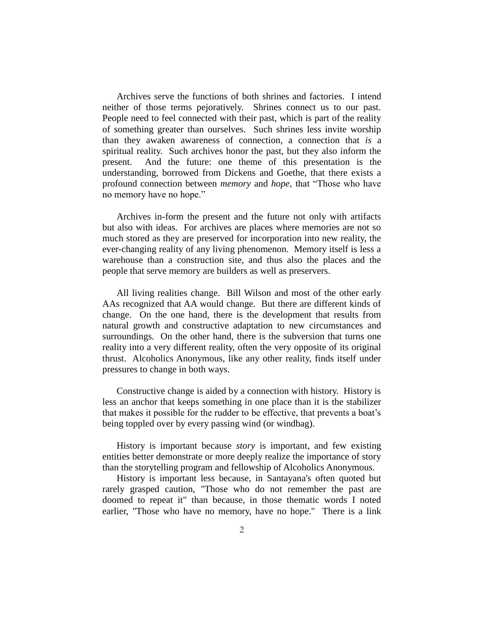Archives serve the functions of both shrines and factories. I intend neither of those terms pejoratively. Shrines connect us to our past. People need to feel connected with their past, which is part of the reality of something greater than ourselves. Such shrines less invite worship than they awaken awareness of connection, a connection that *is* a spiritual reality. Such archives honor the past, but they also inform the present. And the future: one theme of this presentation is the understanding, borrowed from Dickens and Goethe, that there exists a profound connection between *memory* and *hope*, that "Those who have no memory have no hope."

Archives in-form the present and the future not only with artifacts but also with ideas. For archives are places where memories are not so much stored as they are preserved for incorporation into new reality, the ever-changing reality of any living phenomenon. Memory itself is less a warehouse than a construction site, and thus also the places and the people that serve memory are builders as well as preservers.

All living realities change. Bill Wilson and most of the other early AAs recognized that AA would change. But there are different kinds of change. On the one hand, there is the development that results from natural growth and constructive adaptation to new circumstances and surroundings. On the other hand, there is the subversion that turns one reality into a very different reality, often the very opposite of its original thrust. Alcoholics Anonymous, like any other reality, finds itself under pressures to change in both ways.

Constructive change is aided by a connection with history. History is less an anchor that keeps something in one place than it is the stabilizer that makes it possible for the rudder to be effective, that prevents a boat's being toppled over by every passing wind (or windbag).

History is important because *story* is important, and few existing entities better demonstrate or more deeply realize the importance of story than the storytelling program and fellowship of Alcoholics Anonymous.

History is important less because, in Santayana's often quoted but rarely grasped caution, "Those who do not remember the past are doomed to repeat it" than because, in those thematic words I noted earlier, "Those who have no memory, have no hope." There is a link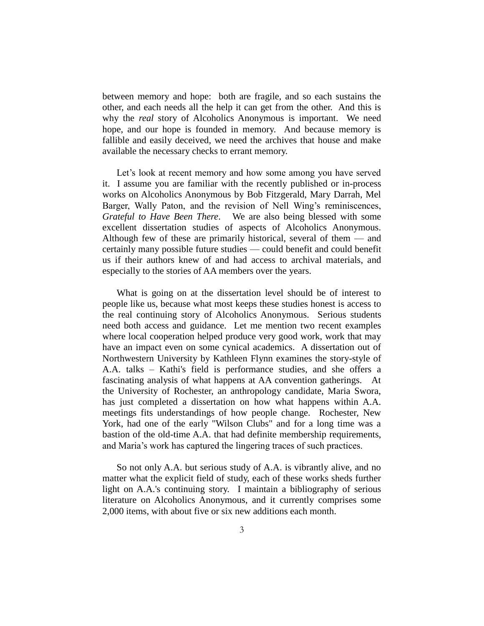between memory and hope: both are fragile, and so each sustains the other, and each needs all the help it can get from the other. And this is why the *real* story of Alcoholics Anonymous is important. We need hope, and our hope is founded in memory. And because memory is fallible and easily deceived, we need the archives that house and make available the necessary checks to errant memory.

Let's look at recent memory and how some among you have served it. I assume you are familiar with the recently published or in-process works on Alcoholics Anonymous by Bob Fitzgerald, Mary Darrah, Mel Barger, Wally Paton, and the revision of Nell Wing's reminiscences, *Grateful to Have Been There*. We are also being blessed with some excellent dissertation studies of aspects of Alcoholics Anonymous. Although few of these are primarily historical, several of them  $-$  and certainly many possible future studies — could benefit and could benefit us if their authors knew of and had access to archival materials, and especially to the stories of AA members over the years.

What is going on at the dissertation level should be of interest to people like us, because what most keeps these studies honest is access to the real continuing story of Alcoholics Anonymous. Serious students need both access and guidance. Let me mention two recent examples where local cooperation helped produce very good work, work that may have an impact even on some cynical academics. A dissertation out of Northwestern University by Kathleen Flynn examines the story-style of A.A. talks – Kathi's field is performance studies, and she offers a fascinating analysis of what happens at AA convention gatherings. At the University of Rochester, an anthropology candidate, Maria Swora, has just completed a dissertation on how what happens within A.A. meetings fits understandings of how people change. Rochester, New York, had one of the early "Wilson Clubs" and for a long time was a bastion of the old-time A.A. that had definite membership requirements, and Maria's work has captured the lingering traces of such practices.

So not only A.A. but serious study of A.A. is vibrantly alive, and no matter what the explicit field of study, each of these works sheds further light on A.A.'s continuing story. I maintain a bibliography of serious literature on Alcoholics Anonymous, and it currently comprises some 2,000 items, with about five or six new additions each month.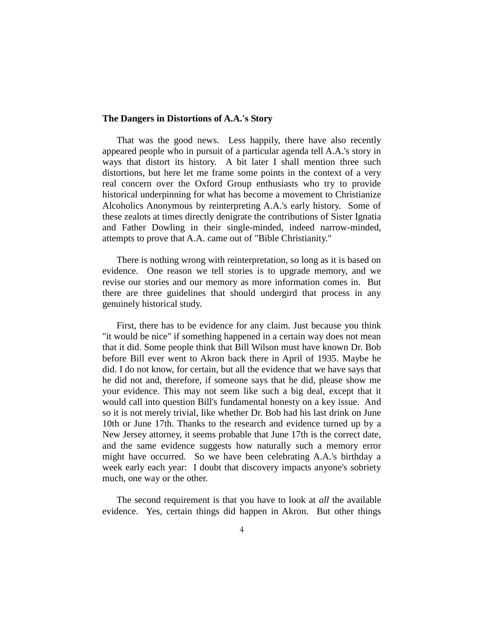## **The Dangers in Distortions of A.A.'s Story**

That was the good news. Less happily, there have also recently appeared people who in pursuit of a particular agenda tell A.A.'s story in ways that distort its history. A bit later I shall mention three such distortions, but here let me frame some points in the context of a very real concern over the Oxford Group enthusiasts who try to provide historical underpinning for what has become a movement to Christianize Alcoholics Anonymous by reinterpreting A.A.'s early history. Some of these zealots at times directly denigrate the contributions of Sister Ignatia and Father Dowling in their single-minded, indeed narrow-minded, attempts to prove that A.A. came out of "Bible Christianity."

There is nothing wrong with reinterpretation, so long as it is based on evidence. One reason we tell stories is to upgrade memory, and we revise our stories and our memory as more information comes in. But there are three guidelines that should undergird that process in any genuinely historical study.

First, there has to be evidence for any claim. Just because you think "it would be nice" if something happened in a certain way does not mean that it did. Some people think that Bill Wilson must have known Dr. Bob before Bill ever went to Akron back there in April of 1935. Maybe he did. I do not know, for certain, but all the evidence that we have says that he did not and, therefore, if someone says that he did, please show me your evidence. This may not seem like such a big deal, except that it would call into question Bill's fundamental honesty on a key issue. And so it is not merely trivial, like whether Dr. Bob had his last drink on June 10th or June 17th. Thanks to the research and evidence turned up by a New Jersey attorney, it seems probable that June 17th is the correct date, and the same evidence suggests how naturally such a memory error might have occurred. So we have been celebrating A.A.'s birthday a week early each year: I doubt that discovery impacts anyone's sobriety much, one way or the other.

The second requirement is that you have to look at *all* the available evidence. Yes, certain things did happen in Akron. But other things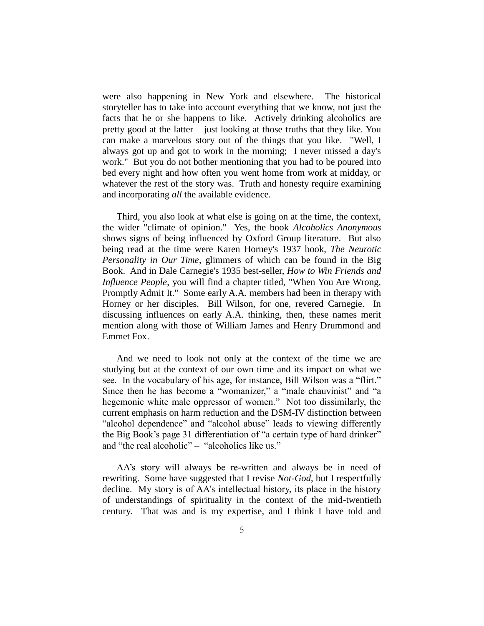were also happening in New York and elsewhere. The historical storyteller has to take into account everything that we know, not just the facts that he or she happens to like. Actively drinking alcoholics are pretty good at the latter – just looking at those truths that they like. You can make a marvelous story out of the things that you like. "Well, I always got up and got to work in the morning; I never missed a day's work." But you do not bother mentioning that you had to be poured into bed every night and how often you went home from work at midday, or whatever the rest of the story was. Truth and honesty require examining and incorporating *all* the available evidence.

Third, you also look at what else is going on at the time, the context, the wider "climate of opinion." Yes, the book *Alcoholics Anonymous* shows signs of being influenced by Oxford Group literature. But also being read at the time were Karen Horney's 1937 book, *The Neurotic Personality in Our Time*, glimmers of which can be found in the Big Book. And in Dale Carnegie's 1935 best-seller, *How to Win Friends and Influence People*, you will find a chapter titled, "When You Are Wrong, Promptly Admit It." Some early A.A. members had been in therapy with Horney or her disciples. Bill Wilson, for one, revered Carnegie. In discussing influences on early A.A. thinking, then, these names merit mention along with those of William James and Henry Drummond and Emmet Fox.

And we need to look not only at the context of the time we are studying but at the context of our own time and its impact on what we see. In the vocabulary of his age, for instance, Bill Wilson was a "flirt." Since then he has become a "womanizer," a "male chauvinist" and "a hegemonic white male oppressor of women." Not too dissimilarly, the current emphasis on harm reduction and the DSM-IV distinction between "alcohol dependence" and "alcohol abuse" leads to viewing differently the Big Book's page 31 differentiation of "a certain type of hard drinker" and "the real alcoholic" – "alcoholics like us."

AA's story will always be re-written and always be in need of rewriting. Some have suggested that I revise *Not-God*, but I respectfully decline. My story is of AA's intellectual history, its place in the history of understandings of spirituality in the context of the mid-twentieth century. That was and is my expertise, and I think I have told and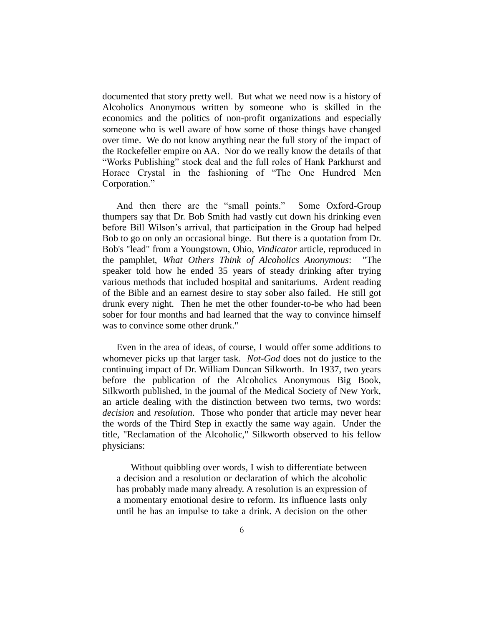documented that story pretty well. But what we need now is a history of Alcoholics Anonymous written by someone who is skilled in the economics and the politics of non-profit organizations and especially someone who is well aware of how some of those things have changed over time. We do not know anything near the full story of the impact of the Rockefeller empire on AA. Nor do we really know the details of that "Works Publishing" stock deal and the full roles of Hank Parkhurst and Horace Crystal in the fashioning of "The One Hundred Men Corporation."

And then there are the "small points." Some Oxford-Group thumpers say that Dr. Bob Smith had vastly cut down his drinking even before Bill Wilson's arrival, that participation in the Group had helped Bob to go on only an occasional binge. But there is a quotation from Dr. Bob's "lead" from a Youngstown, Ohio, *Vindicator* article, reproduced in the pamphlet, *What Others Think of Alcoholics Anonymous*: "The speaker told how he ended 35 years of steady drinking after trying various methods that included hospital and sanitariums. Ardent reading of the Bible and an earnest desire to stay sober also failed. He still got drunk every night. Then he met the other founder-to-be who had been sober for four months and had learned that the way to convince himself was to convince some other drunk."

Even in the area of ideas, of course, I would offer some additions to whomever picks up that larger task. *Not-God* does not do justice to the continuing impact of Dr. William Duncan Silkworth. In 1937, two years before the publication of the Alcoholics Anonymous Big Book, Silkworth published, in the journal of the Medical Society of New York, an article dealing with the distinction between two terms, two words: *decision* and *resolution*. Those who ponder that article may never hear the words of the Third Step in exactly the same way again. Under the title, "Reclamation of the Alcoholic," Silkworth observed to his fellow physicians:

Without quibbling over words, I wish to differentiate between a decision and a resolution or declaration of which the alcoholic has probably made many already. A resolution is an expression of a momentary emotional desire to reform. Its influence lasts only until he has an impulse to take a drink. A decision on the other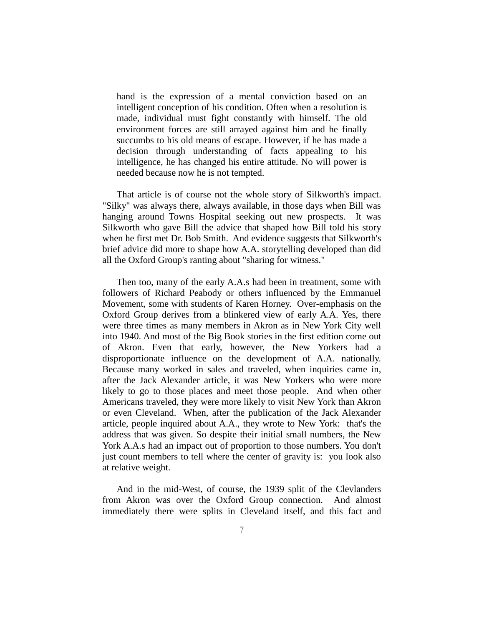hand is the expression of a mental conviction based on an intelligent conception of his condition. Often when a resolution is made, individual must fight constantly with himself. The old environment forces are still arrayed against him and he finally succumbs to his old means of escape. However, if he has made a decision through understanding of facts appealing to his intelligence, he has changed his entire attitude. No will power is needed because now he is not tempted.

That article is of course not the whole story of Silkworth's impact. "Silky" was always there, always available, in those days when Bill was hanging around Towns Hospital seeking out new prospects. It was Silkworth who gave Bill the advice that shaped how Bill told his story when he first met Dr. Bob Smith. And evidence suggests that Silkworth's brief advice did more to shape how A.A. storytelling developed than did all the Oxford Group's ranting about "sharing for witness."

Then too, many of the early A.A.s had been in treatment, some with followers of Richard Peabody or others influenced by the Emmanuel Movement, some with students of Karen Horney. Over-emphasis on the Oxford Group derives from a blinkered view of early A.A. Yes, there were three times as many members in Akron as in New York City well into 1940. And most of the Big Book stories in the first edition come out of Akron. Even that early, however, the New Yorkers had a disproportionate influence on the development of A.A. nationally. Because many worked in sales and traveled, when inquiries came in, after the Jack Alexander article, it was New Yorkers who were more likely to go to those places and meet those people. And when other Americans traveled, they were more likely to visit New York than Akron or even Cleveland. When, after the publication of the Jack Alexander article, people inquired about A.A., they wrote to New York: that's the address that was given. So despite their initial small numbers, the New York A.A.s had an impact out of proportion to those numbers. You don't just count members to tell where the center of gravity is: you look also at relative weight.

And in the mid-West, of course, the 1939 split of the Clevlanders from Akron was over the Oxford Group connection. And almost immediately there were splits in Cleveland itself, and this fact and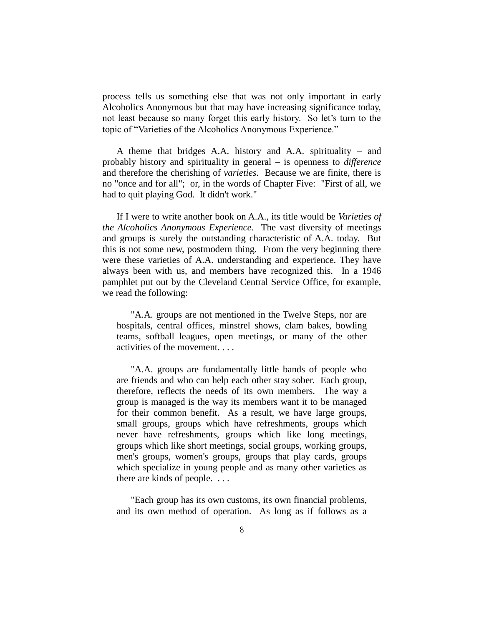process tells us something else that was not only important in early Alcoholics Anonymous but that may have increasing significance today, not least because so many forget this early history. So let's turn to the topic of "Varieties of the Alcoholics Anonymous Experience."

A theme that bridges A.A. history and A.A. spirituality – and probably history and spirituality in general – is openness to *difference* and therefore the cherishing of *varieties*. Because we are finite, there is no "once and for all"; or, in the words of Chapter Five: "First of all, we had to quit playing God. It didn't work."

If I were to write another book on A.A., its title would be *Varieties of the Alcoholics Anonymous Experience*. The vast diversity of meetings and groups is surely the outstanding characteristic of A.A. today. But this is not some new, postmodern thing. From the very beginning there were these varieties of A.A. understanding and experience. They have always been with us, and members have recognized this. In a 1946 pamphlet put out by the Cleveland Central Service Office, for example, we read the following:

"A.A. groups are not mentioned in the Twelve Steps, nor are hospitals, central offices, minstrel shows, clam bakes, bowling teams, softball leagues, open meetings, or many of the other activities of the movement. . . .

"A.A. groups are fundamentally little bands of people who are friends and who can help each other stay sober. Each group, therefore, reflects the needs of its own members. The way a group is managed is the way its members want it to be managed for their common benefit. As a result, we have large groups, small groups, groups which have refreshments, groups which never have refreshments, groups which like long meetings, groups which like short meetings, social groups, working groups, men's groups, women's groups, groups that play cards, groups which specialize in young people and as many other varieties as there are kinds of people. . . .

"Each group has its own customs, its own financial problems, and its own method of operation. As long as if follows as a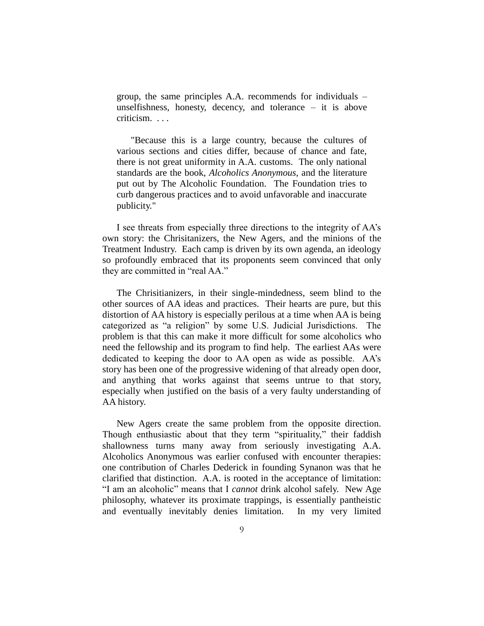group, the same principles A.A. recommends for individuals – unselfishness, honesty, decency, and tolerance – it is above criticism. . . .

"Because this is a large country, because the cultures of various sections and cities differ, because of chance and fate, there is not great uniformity in A.A. customs. The only national standards are the book, *Alcoholics Anonymous*, and the literature put out by The Alcoholic Foundation. The Foundation tries to curb dangerous practices and to avoid unfavorable and inaccurate publicity."

I see threats from especially three directions to the integrity of AA's own story: the Chrisitanizers, the New Agers, and the minions of the Treatment Industry. Each camp is driven by its own agenda, an ideology so profoundly embraced that its proponents seem convinced that only they are committed in "real AA."

The Chrisitianizers, in their single-mindedness, seem blind to the other sources of AA ideas and practices. Their hearts are pure, but this distortion of AA history is especially perilous at a time when AA is being categorized as "a religion" by some U.S. Judicial Jurisdictions. The problem is that this can make it more difficult for some alcoholics who need the fellowship and its program to find help. The earliest AAs were dedicated to keeping the door to AA open as wide as possible. AA's story has been one of the progressive widening of that already open door, and anything that works against that seems untrue to that story, especially when justified on the basis of a very faulty understanding of AA history.

New Agers create the same problem from the opposite direction. Though enthusiastic about that they term "spirituality," their faddish shallowness turns many away from seriously investigating A.A. Alcoholics Anonymous was earlier confused with encounter therapies: one contribution of Charles Dederick in founding Synanon was that he clarified that distinction. A.A. is rooted in the acceptance of limitation: "I am an alcoholic" means that I *cannot* drink alcohol safely. New Age philosophy, whatever its proximate trappings, is essentially pantheistic and eventually inevitably denies limitation. In my very limited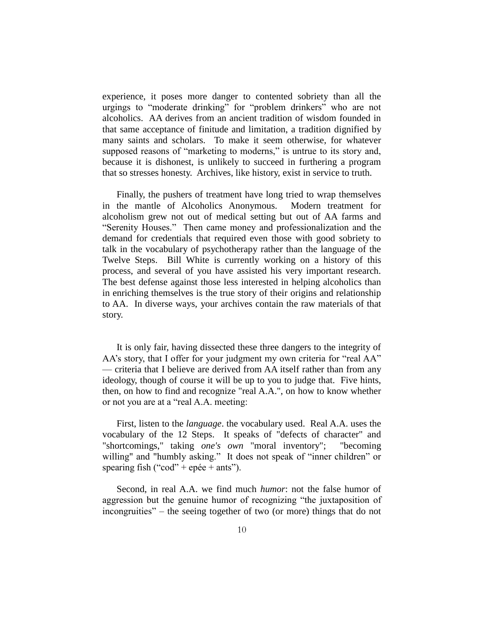experience, it poses more danger to contented sobriety than all the urgings to "moderate drinking" for "problem drinkers" who are not alcoholics. AA derives from an ancient tradition of wisdom founded in that same acceptance of finitude and limitation, a tradition dignified by many saints and scholars. To make it seem otherwise, for whatever supposed reasons of "marketing to moderns," is untrue to its story and, because it is dishonest, is unlikely to succeed in furthering a program that so stresses honesty. Archives, like history, exist in service to truth.

Finally, the pushers of treatment have long tried to wrap themselves in the mantle of Alcoholics Anonymous. Modern treatment for alcoholism grew not out of medical setting but out of AA farms and "Serenity Houses." Then came money and professionalization and the demand for credentials that required even those with good sobriety to talk in the vocabulary of psychotherapy rather than the language of the Twelve Steps. Bill White is currently working on a history of this process, and several of you have assisted his very important research. The best defense against those less interested in helping alcoholics than in enriching themselves is the true story of their origins and relationship to AA. In diverse ways, your archives contain the raw materials of that story.

It is only fair, having dissected these three dangers to the integrity of AA's story, that I offer for your judgment my own criteria for "real AA" — criteria that I believe are derived from AA itself rather than from any ideology, though of course it will be up to you to judge that. Five hints, then, on how to find and recognize "real A.A.", on how to know whether or not you are at a "real A.A. meeting:

First, listen to the *language*. the vocabulary used. Real A.A. uses the vocabulary of the 12 Steps. It speaks of "defects of character" and "shortcomings," taking *one's own* "moral inventory"; "becoming willing" and "humbly asking." It does not speak of "inner children" or spearing fish ("cod" + epée + ants").

Second, in real A.A. we find much *humor*: not the false humor of aggression but the genuine humor of recognizing "the juxtaposition of incongruities" – the seeing together of two (or more) things that do not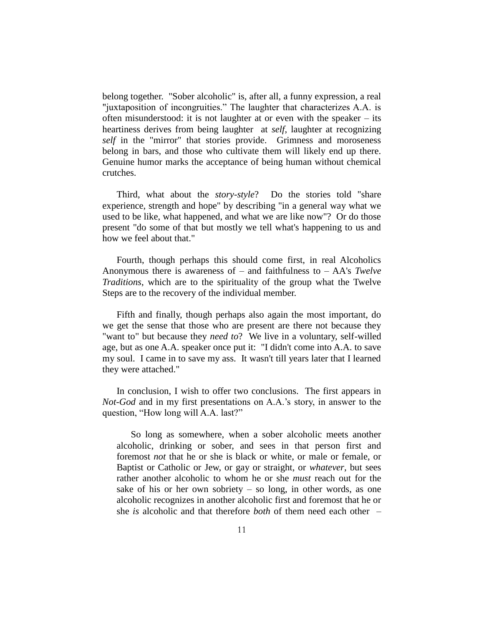belong together. "Sober alcoholic" is, after all, a funny expression, a real "juxtaposition of incongruities." The laughter that characterizes A.A. is often misunderstood: it is not laughter at or even with the speaker – its heartiness derives from being laughter at *self*, laughter at recognizing *self* in the "mirror" that stories provide. Grimness and moroseness belong in bars, and those who cultivate them will likely end up there. Genuine humor marks the acceptance of being human without chemical crutches.

Third, what about the *story-style*? Do the stories told "share experience, strength and hope" by describing "in a general way what we used to be like, what happened, and what we are like now"? Or do those present "do some of that but mostly we tell what's happening to us and how we feel about that."

Fourth, though perhaps this should come first, in real Alcoholics Anonymous there is awareness of – and faithfulness to – AA's *Twelve Traditions*, which are to the spirituality of the group what the Twelve Steps are to the recovery of the individual member.

Fifth and finally, though perhaps also again the most important, do we get the sense that those who are present are there not because they "want to" but because they *need to*? We live in a voluntary, self-willed age, but as one A.A. speaker once put it: "I didn't come into A.A. to save my soul. I came in to save my ass. It wasn't till years later that I learned they were attached."

In conclusion, I wish to offer two conclusions. The first appears in *Not-God* and in my first presentations on A.A.'s story, in answer to the question, "How long will A.A. last?"

So long as somewhere, when a sober alcoholic meets another alcoholic, drinking or sober, and sees in that person first and foremost *not* that he or she is black or white, or male or female, or Baptist or Catholic or Jew, or gay or straight, or *whatever*, but sees rather another alcoholic to whom he or she *must* reach out for the sake of his or her own sobriety  $-$  so long, in other words, as one alcoholic recognizes in another alcoholic first and foremost that he or she *is* alcoholic and that therefore *both* of them need each other –